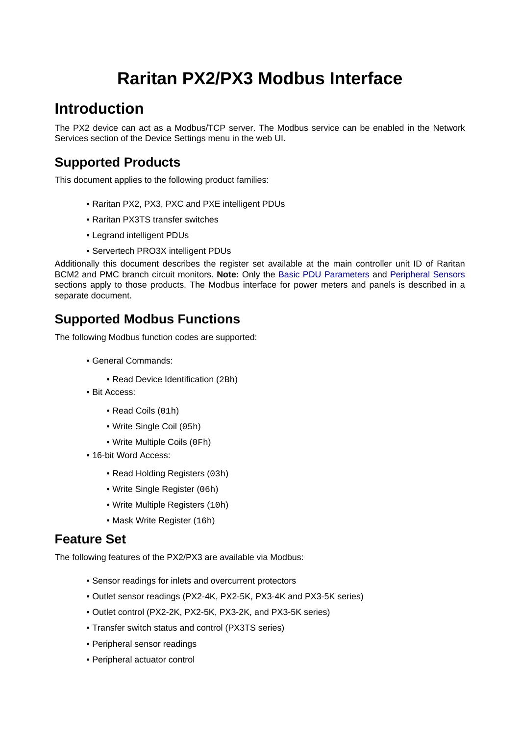# **Raritan PX2/PX3 Modbus Interface**

# **Introduction**

The PX2 device can act as a Modbus/TCP server. The Modbus service can be enabled in the Network Services section of the Device Settings menu in the web UI.

### **Supported Products**

This document applies to the following product families:

- Raritan PX2, PX3, PXC and PXE intelligent PDUs
- Raritan PX3TS transfer switches
- Legrand intelligent PDUs
- Servertech PRO3X intelligent PDUs

Additionally this document describes the register set available at the main controller unit ID of Raritan BCM2 and PMC branch circuit monitors. **Note:** Only the [Basic PDU Parameters](#page-4-0) and [Peripheral Sensors](#page-5-0) sections apply to those products. The Modbus interface for power meters and panels is described in a separate document.

### **Supported Modbus Functions**

The following Modbus function codes are supported:

- General Commands:
	- Read Device Identification (2Bh)
- Bit Access:
	- Read Coils (01h)
	- Write Single Coil (05h)
	- Write Multiple Coils (0Fh)
- 16-bit Word Access:
	- Read Holding Registers (03h)
	- Write Single Register (06h)
	- Write Multiple Registers (10h)
	- Mask Write Register (16h)

#### **Feature Set**

The following features of the PX2/PX3 are available via Modbus:

- Sensor readings for inlets and overcurrent protectors
- Outlet sensor readings (PX2-4K, PX2-5K, PX3-4K and PX3-5K series)
- Outlet control (PX2-2K, PX2-5K, PX3-2K, and PX3-5K series)
- Transfer switch status and control (PX3TS series)
- Peripheral sensor readings
- Peripheral actuator control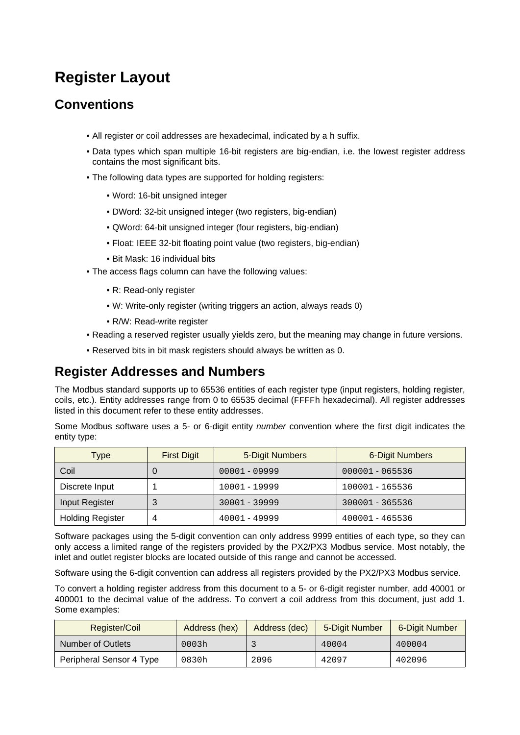# **Register Layout**

#### **Conventions**

- All register or coil addresses are hexadecimal, indicated by a h suffix.
- Data types which span multiple 16-bit registers are big-endian, i.e. the lowest register address contains the most significant bits.
- The following data types are supported for holding registers:
	- Word: 16-bit unsigned integer
	- DWord: 32-bit unsigned integer (two registers, big-endian)
	- QWord: 64-bit unsigned integer (four registers, big-endian)
	- Float: IEEE 32-bit floating point value (two registers, big-endian)
	- Bit Mask: 16 individual bits
- The access flags column can have the following values:
	- R: Read-only register
	- W: Write-only register (writing triggers an action, always reads 0)
	- R/W: Read-write register
- Reading a reserved register usually yields zero, but the meaning may change in future versions.
- Reserved bits in bit mask registers should always be written as 0.

#### **Register Addresses and Numbers**

The Modbus standard supports up to 65536 entities of each register type (input registers, holding register, coils, etc.). Entity addresses range from 0 to 65535 decimal (FFFFh hexadecimal). All register addresses listed in this document refer to these entity addresses.

Some Modbus software uses a 5- or 6-digit entity number convention where the first digit indicates the entity type:

| Type                    | <b>First Digit</b> | 5-Digit Numbers | <b>6-Digit Numbers</b> |
|-------------------------|--------------------|-----------------|------------------------|
| Coil                    | O                  | $00001 - 09999$ | 000001 - 065536        |
| Discrete Input          |                    | 10001 - 19999   | 100001 - 165536        |
| Input Register          | 3                  | 30001 - 39999   | 300001 - 365536        |
| <b>Holding Register</b> | 4                  | $40001 - 49999$ | 400001 - 465536        |

Software packages using the 5-digit convention can only address 9999 entities of each type, so they can only access a limited range of the registers provided by the PX2/PX3 Modbus service. Most notably, the inlet and outlet register blocks are located outside of this range and cannot be accessed.

Software using the 6-digit convention can address all registers provided by the PX2/PX3 Modbus service.

To convert a holding register address from this document to a 5- or 6-digit register number, add 40001 or 400001 to the decimal value of the address. To convert a coil address from this document, just add 1. Some examples:

| Register/Coil            | Address (hex) | Address (dec) | 5-Digit Number | 6-Digit Number |
|--------------------------|---------------|---------------|----------------|----------------|
| Number of Outlets        | 0003h         |               | 40004          | 400004         |
| Peripheral Sensor 4 Type | 0830h         | 2096          | 42097          | 402096         |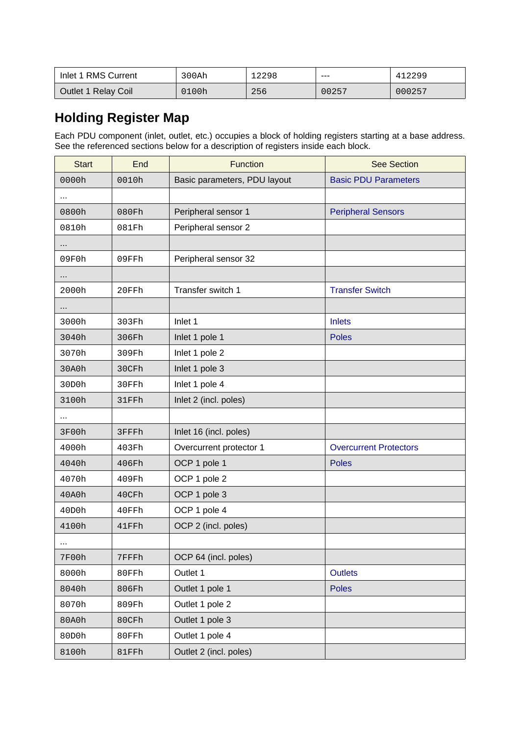| Inlet 1 RMS Current | 300Ah | 12298 | ---   | 412299 |
|---------------------|-------|-------|-------|--------|
| Outlet 1 Relay Coil | 0100h | 256   | 00257 | 000257 |

### **Holding Register Map**

Each PDU component (inlet, outlet, etc.) occupies a block of holding registers starting at a base address. See the referenced sections below for a description of registers inside each block.

| <b>Start</b> | End   | Function                     | <b>See Section</b>            |
|--------------|-------|------------------------------|-------------------------------|
| 0000h        | 0010h | Basic parameters, PDU layout | <b>Basic PDU Parameters</b>   |
| $\cdots$     |       |                              |                               |
| 0800h        | 080Fh | Peripheral sensor 1          | <b>Peripheral Sensors</b>     |
| 0810h        | 081Fh | Peripheral sensor 2          |                               |
|              |       |                              |                               |
| 09F0h        | 09FFh | Peripheral sensor 32         |                               |
|              |       |                              |                               |
| 2000h        | 20FFh | Transfer switch 1            | <b>Transfer Switch</b>        |
|              |       |                              |                               |
| 3000h        | 303Fh | Inlet 1                      | <b>Inlets</b>                 |
| 3040h        | 306Fh | Inlet 1 pole 1               | <b>Poles</b>                  |
| 3070h        | 309Fh | Inlet 1 pole 2               |                               |
| 30A0h        | 30CFh | Inlet 1 pole 3               |                               |
| 30D0h        | 30FFh | Inlet 1 pole 4               |                               |
| 3100h        | 31FFh | Inlet 2 (incl. poles)        |                               |
| $\cdots$     |       |                              |                               |
| 3F00h        | 3FFFh | Inlet 16 (incl. poles)       |                               |
| 4000h        | 403Fh | Overcurrent protector 1      | <b>Overcurrent Protectors</b> |
| 4040h        | 406Fh | OCP 1 pole 1                 | <b>Poles</b>                  |
| 4070h        | 409Fh | OCP 1 pole 2                 |                               |
| 40A0h        | 40CFh | OCP 1 pole 3                 |                               |
| 40D0h        | 40FFh | OCP 1 pole 4                 |                               |
| 4100h        | 41FFh | OCP 2 (incl. poles)          |                               |
| $\cdots$     |       |                              |                               |
| 7F00h        | 7FFFh | OCP 64 (incl. poles)         |                               |
| 8000h        | 80FFh | Outlet 1                     | <b>Outlets</b>                |
| 8040h        | 806Fh | Outlet 1 pole 1              | <b>Poles</b>                  |
| 8070h        | 809Fh | Outlet 1 pole 2              |                               |
| 80A0h        | 80CFh | Outlet 1 pole 3              |                               |
| 80D0h        | 80FFh | Outlet 1 pole 4              |                               |
| 8100h        | 81FFh | Outlet 2 (incl. poles)       |                               |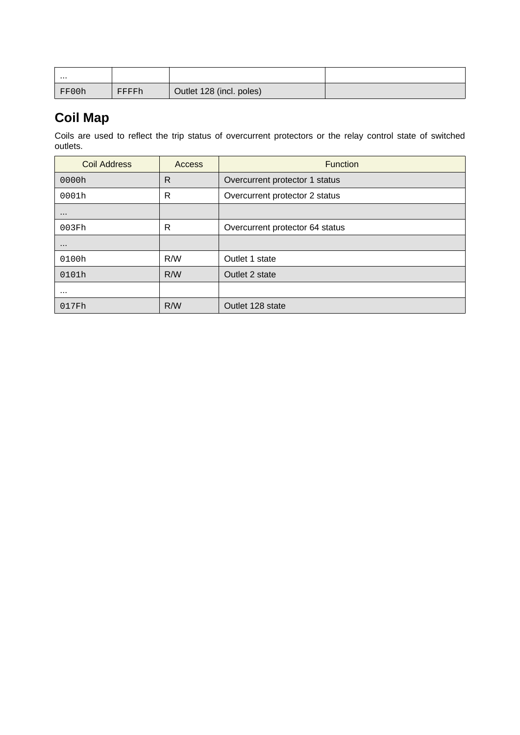| .     |       |                          |  |
|-------|-------|--------------------------|--|
| FF00h | FFFFh | Outlet 128 (incl. poles) |  |

# **Coil Map**

Coils are used to reflect the trip status of overcurrent protectors or the relay control state of switched outlets.

| <b>Coil Address</b> | Access | <b>Function</b>                 |
|---------------------|--------|---------------------------------|
| 0000h               | R      | Overcurrent protector 1 status  |
| 0001h               | R      | Overcurrent protector 2 status  |
| $\cdots$            |        |                                 |
| 003Fh               | R      | Overcurrent protector 64 status |
| $\cdots$            |        |                                 |
| 0100h               | R/W    | Outlet 1 state                  |
| 0101h               | R/W    | Outlet 2 state                  |
| $\cdots$            |        |                                 |
| 017Fh               | R/W    | Outlet 128 state                |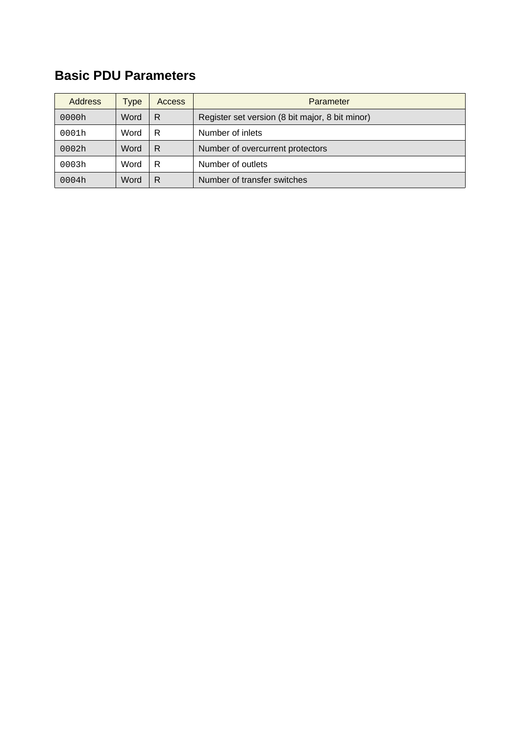# <span id="page-4-0"></span>**Basic PDU Parameters**

| <b>Address</b> | Type | <b>Access</b> | Parameter                                       |
|----------------|------|---------------|-------------------------------------------------|
| 0000h          | Word | R             | Register set version (8 bit major, 8 bit minor) |
| 0001h          | Word | R             | Number of inlets                                |
| 0002h          | Word | R             | Number of overcurrent protectors                |
| 0003h          | Word | R             | Number of outlets                               |
| 0004h          | Word | R             | Number of transfer switches                     |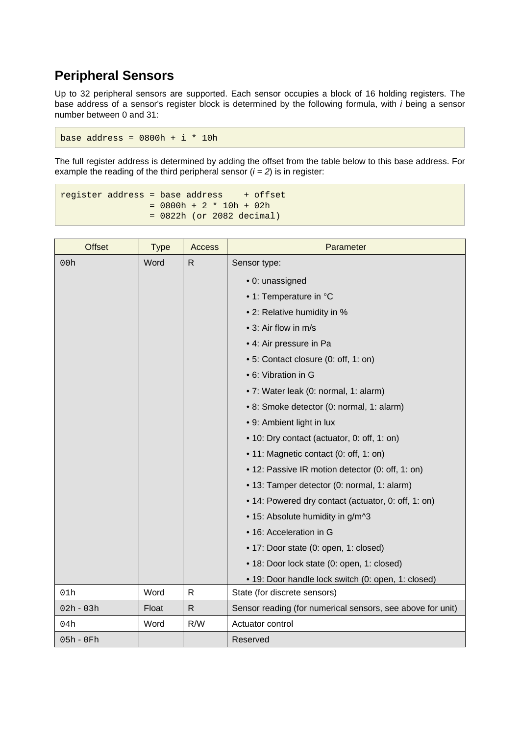### <span id="page-5-0"></span>**Peripheral Sensors**

Up to 32 peripheral sensors are supported. Each sensor occupies a block of 16 holding registers. The base address of a sensor's register block is determined by the following formula, with i being a sensor number between 0 and 31:

base address =  $0800h + i * 10h$ 

The full register address is determined by adding the offset from the table below to this base address. For example the reading of the third peripheral sensor  $(i = 2)$  is in register:

 $register$  address = base address  $+$  offset  $= 0800h + 2 * 10h + 02h$ = 0822h (or 2082 decimal)

| <b>Offset</b> | <b>Type</b> | <b>Access</b> | Parameter                                                  |
|---------------|-------------|---------------|------------------------------------------------------------|
| 00h           | Word        | $\mathsf{R}$  | Sensor type:                                               |
|               |             |               | · 0: unassigned                                            |
|               |             |               | • 1: Temperature in °C                                     |
|               |             |               | • 2: Relative humidity in %                                |
|               |             |               | • 3: Air flow in m/s                                       |
|               |             |               | • 4: Air pressure in Pa                                    |
|               |             |               | • 5: Contact closure (0: off, 1: on)                       |
|               |             |               | • 6: Vibration in G                                        |
|               |             |               | • 7: Water leak (0: normal, 1: alarm)                      |
|               |             |               | • 8: Smoke detector (0: normal, 1: alarm)                  |
|               |             |               | • 9: Ambient light in lux                                  |
|               |             |               | • 10: Dry contact (actuator, 0: off, 1: on)                |
|               |             |               | • 11: Magnetic contact (0: off, 1: on)                     |
|               |             |               | • 12: Passive IR motion detector (0: off, 1: on)           |
|               |             |               | • 13: Tamper detector (0: normal, 1: alarm)                |
|               |             |               | • 14: Powered dry contact (actuator, 0: off, 1: on)        |
|               |             |               | • 15: Absolute humidity in g/m^3                           |
|               |             |               | • 16: Acceleration in G                                    |
|               |             |               | • 17: Door state (0: open, 1: closed)                      |
|               |             |               | • 18: Door lock state (0: open, 1: closed)                 |
|               |             |               | • 19: Door handle lock switch (0: open, 1: closed)         |
| 01h           | Word        | $\mathsf{R}$  | State (for discrete sensors)                               |
| $02h - 03h$   | Float       | $\mathsf{R}$  | Sensor reading (for numerical sensors, see above for unit) |
| 04h           | Word        | R/W           | Actuator control                                           |
| $05h - 0Fh$   |             |               | Reserved                                                   |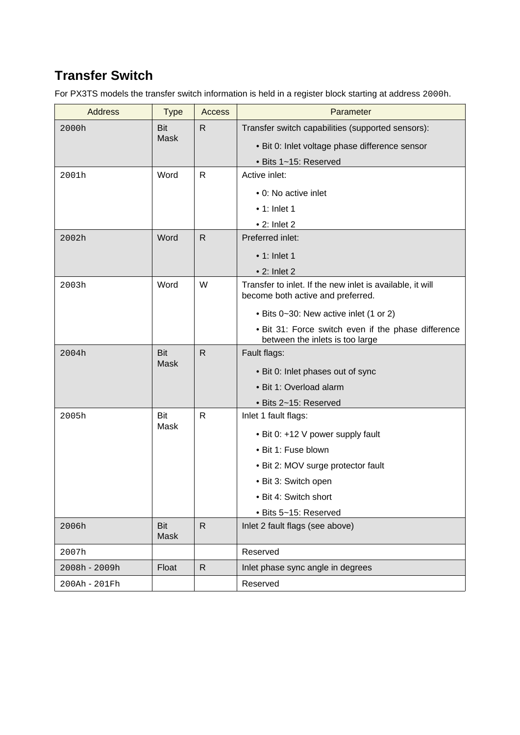# <span id="page-6-0"></span>**Transfer Switch**

For PX3TS models the transfer switch information is held in a register block starting at address 2000h.

| <b>Address</b>    | <b>Type</b> | <b>Access</b> | Parameter                                                                                      |
|-------------------|-------------|---------------|------------------------------------------------------------------------------------------------|
| 2000h             | Bit         | $\mathsf{R}$  | Transfer switch capabilities (supported sensors):                                              |
|                   | <b>Mask</b> |               | • Bit 0: Inlet voltage phase difference sensor                                                 |
|                   |             |               | • Bits 1~15: Reserved                                                                          |
| 2001h             | Word        | $\mathsf{R}$  | Active inlet:                                                                                  |
|                   |             |               | • 0: No active inlet                                                                           |
|                   |             |               | $\bullet$ 1: Inlet 1                                                                           |
|                   |             |               | $\bullet$ 2: Inlet 2                                                                           |
| 2002 <sub>h</sub> | Word        | $\mathsf{R}$  | Preferred inlet:                                                                               |
|                   |             |               | $\bullet$ 1: Inlet 1                                                                           |
|                   |             |               | $\bullet$ 2: Inlet 2                                                                           |
| 2003h             | Word        | W             | Transfer to inlet. If the new inlet is available, it will<br>become both active and preferred. |
|                   |             |               | • Bits 0~30: New active inlet (1 or 2)                                                         |
|                   |             |               | . Bit 31: Force switch even if the phase difference<br>between the inlets is too large         |
| 2004h             | <b>Bit</b>  | $\mathsf{R}$  | Fault flags:                                                                                   |
|                   | <b>Mask</b> |               | • Bit 0: Inlet phases out of sync                                                              |
|                   |             |               | • Bit 1: Overload alarm                                                                        |
|                   |             |               | • Bits 2~15: Reserved                                                                          |
| 2005h             | Bit         | $\mathsf{R}$  | Inlet 1 fault flags:                                                                           |
|                   | Mask        |               | • Bit 0: +12 V power supply fault                                                              |
|                   |             |               | • Bit 1: Fuse blown                                                                            |
|                   |             |               | • Bit 2: MOV surge protector fault                                                             |
|                   |             |               | · Bit 3: Switch open                                                                           |
|                   |             |               | · Bit 4: Switch short                                                                          |
|                   |             |               | · Bits 5~15: Reserved                                                                          |
| 2006h             | Bit<br>Mask | $\mathsf{R}$  | Inlet 2 fault flags (see above)                                                                |
| 2007h             |             |               | Reserved                                                                                       |
| 2008h - 2009h     | Float       | $\mathsf{R}$  | Inlet phase sync angle in degrees                                                              |
| 200Ah - 201Fh     |             |               | Reserved                                                                                       |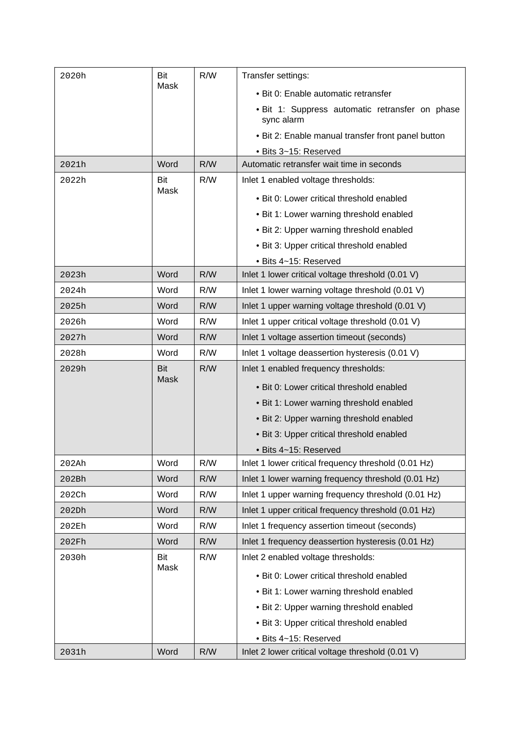| 2020h | Bit         | R/W | Transfer settings:                                            |
|-------|-------------|-----|---------------------------------------------------------------|
|       | Mask        |     | · Bit 0: Enable automatic retransfer                          |
|       |             |     | . Bit 1: Suppress automatic retransfer on phase<br>sync alarm |
|       |             |     | • Bit 2: Enable manual transfer front panel button            |
|       |             |     | • Bits 3~15: Reserved                                         |
| 2021h | Word        | R/W | Automatic retransfer wait time in seconds                     |
| 2022h | Bit         | R/W | Inlet 1 enabled voltage thresholds:                           |
|       | Mask        |     | • Bit 0: Lower critical threshold enabled                     |
|       |             |     | • Bit 1: Lower warning threshold enabled                      |
|       |             |     | • Bit 2: Upper warning threshold enabled                      |
|       |             |     | • Bit 3: Upper critical threshold enabled                     |
|       |             |     | • Bits 4~15: Reserved                                         |
| 2023h | Word        | R/W | Inlet 1 lower critical voltage threshold (0.01 V)             |
| 2024h | Word        | R/W | Inlet 1 lower warning voltage threshold (0.01 V)              |
| 2025h | Word        | R/W | Inlet 1 upper warning voltage threshold (0.01 V)              |
| 2026h | Word        | R/W | Inlet 1 upper critical voltage threshold (0.01 V)             |
| 2027h | Word        | R/W | Inlet 1 voltage assertion timeout (seconds)                   |
| 2028h | Word        | R/W | Inlet 1 voltage deassertion hysteresis (0.01 V)               |
| 2029h | <b>Bit</b>  | R/W | Inlet 1 enabled frequency thresholds:                         |
|       | <b>Mask</b> |     | • Bit 0: Lower critical threshold enabled                     |
|       |             |     | • Bit 1: Lower warning threshold enabled                      |
|       |             |     | • Bit 2: Upper warning threshold enabled                      |
|       |             |     | • Bit 3: Upper critical threshold enabled                     |
|       |             |     | • Bits 4~15: Reserved                                         |
| 202Ah | Word        | R/W | Inlet 1 lower critical frequency threshold (0.01 Hz)          |
| 202Bh | Word        | R/W | Inlet 1 lower warning frequency threshold (0.01 Hz)           |
| 202Ch | Word        | R/W | Inlet 1 upper warning frequency threshold (0.01 Hz)           |
| 202Dh | Word        | R/W | Inlet 1 upper critical frequency threshold (0.01 Hz)          |
| 202Eh | Word        | R/W | Inlet 1 frequency assertion timeout (seconds)                 |
| 202Fh | Word        | R/W | Inlet 1 frequency deassertion hysteresis (0.01 Hz)            |
| 2030h | Bit         | R/W | Inlet 2 enabled voltage thresholds:                           |
|       | Mask        |     | · Bit 0: Lower critical threshold enabled                     |
|       |             |     | • Bit 1: Lower warning threshold enabled                      |
|       |             |     | • Bit 2: Upper warning threshold enabled                      |
|       |             |     | • Bit 3: Upper critical threshold enabled                     |
|       |             |     | · Bits 4~15: Reserved                                         |
| 2031h | Word        | R/W | Inlet 2 lower critical voltage threshold (0.01 V)             |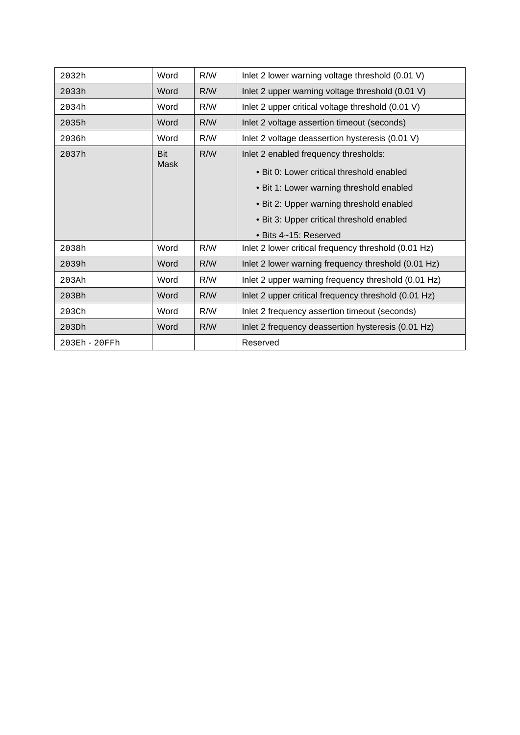| 2032h         | Word       | R/W | Inlet 2 lower warning voltage threshold (0.01 V)     |
|---------------|------------|-----|------------------------------------------------------|
| 2033h         | Word       | R/W | Inlet 2 upper warning voltage threshold (0.01 V)     |
| 2034h         | Word       | R/W | Inlet 2 upper critical voltage threshold (0.01 V)    |
| 2035h         | Word       | R/W | Inlet 2 voltage assertion timeout (seconds)          |
| 2036h         | Word       | R/W | Inlet 2 voltage deassertion hysteresis (0.01 V)      |
| 2037h         | <b>Bit</b> | R/W | Inlet 2 enabled frequency thresholds:                |
|               | Mask       |     | • Bit 0: Lower critical threshold enabled            |
|               |            |     | • Bit 1: Lower warning threshold enabled             |
|               |            |     | • Bit 2: Upper warning threshold enabled             |
|               |            |     | • Bit 3: Upper critical threshold enabled            |
|               |            |     | • Bits 4~15: Reserved                                |
| 2038h         | Word       | R/W | Inlet 2 lower critical frequency threshold (0.01 Hz) |
| 2039h         | Word       | R/W | Inlet 2 lower warning frequency threshold (0.01 Hz)  |
| 203Ah         | Word       | R/W | Inlet 2 upper warning frequency threshold (0.01 Hz)  |
| 203Bh         | Word       | R/W | Inlet 2 upper critical frequency threshold (0.01 Hz) |
| 203Ch         | Word       | R/W | Inlet 2 frequency assertion timeout (seconds)        |
| 203Dh         | Word       | R/W | Inlet 2 frequency deassertion hysteresis (0.01 Hz)   |
| 203Eh - 20FFh |            |     | Reserved                                             |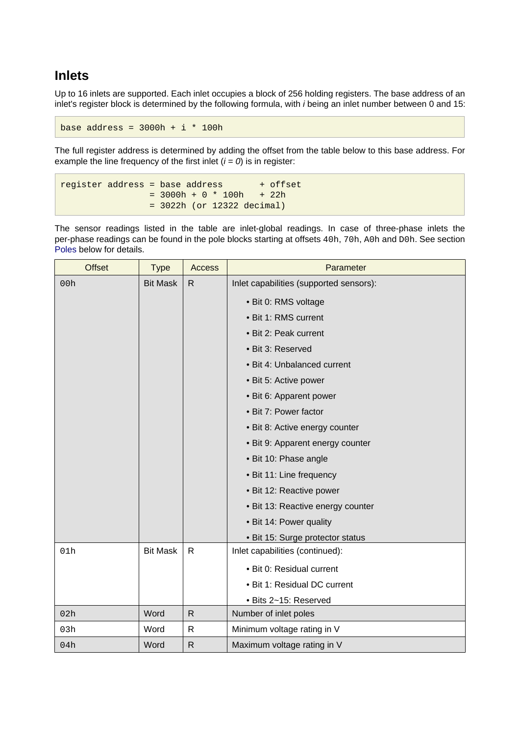#### <span id="page-9-0"></span>**Inlets**

Up to 16 inlets are supported. Each inlet occupies a block of 256 holding registers. The base address of an inlet's register block is determined by the following formula, with i being an inlet number between 0 and 15:

base address =  $3000h + i * 100h$ 

The full register address is determined by adding the offset from the table below to this base address. For example the line frequency of the first inlet  $(i = 0)$  is in register:

```
register address = base address + offset
   = 3000h + 0 * 100h + 22h = 3022h (or 12322 decimal)
```
The sensor readings listed in the table are inlet-global readings. In case of three-phase inlets the per-phase readings can be found in the pole blocks starting at offsets 40h, 70h, A0h and D0h. See section [Poles](#page-14-0) below for details.

| <b>Offset</b> | <b>Type</b>     | <b>Access</b> | Parameter                               |
|---------------|-----------------|---------------|-----------------------------------------|
| 00h           | <b>Bit Mask</b> | R             | Inlet capabilities (supported sensors): |
|               |                 |               | • Bit 0: RMS voltage                    |
|               |                 |               | • Bit 1: RMS current                    |
|               |                 |               | • Bit 2: Peak current                   |
|               |                 |               | · Bit 3: Reserved                       |
|               |                 |               | • Bit 4: Unbalanced current             |
|               |                 |               | • Bit 5: Active power                   |
|               |                 |               | • Bit 6: Apparent power                 |
|               |                 |               | • Bit 7: Power factor                   |
|               |                 |               | • Bit 8: Active energy counter          |
|               |                 |               | • Bit 9: Apparent energy counter        |
|               |                 |               | • Bit 10: Phase angle                   |
|               |                 |               | • Bit 11: Line frequency                |
|               |                 |               | • Bit 12: Reactive power                |
|               |                 |               | • Bit 13: Reactive energy counter       |
|               |                 |               | • Bit 14: Power quality                 |
|               |                 |               | • Bit 15: Surge protector status        |
| 01h           | <b>Bit Mask</b> | $\mathsf{R}$  | Inlet capabilities (continued):         |
|               |                 |               | • Bit 0: Residual current               |
|               |                 |               | • Bit 1: Residual DC current            |
|               |                 |               | · Bits 2~15: Reserved                   |
| 02h           | Word            | $\mathsf{R}$  | Number of inlet poles                   |
| 03h           | Word            | $\mathsf{R}$  | Minimum voltage rating in V             |
| 04h           | Word            | $\mathsf{R}$  | Maximum voltage rating in V             |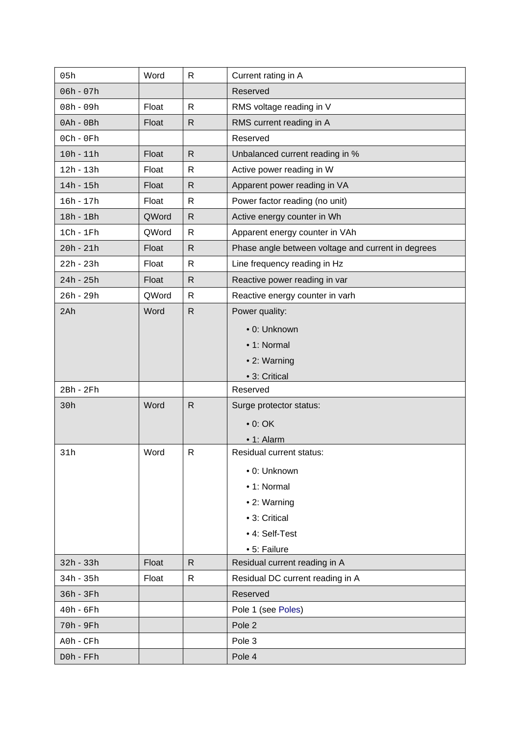| 05h             | Word  | $\mathsf{R}$ | Current rating in A                                |
|-----------------|-------|--------------|----------------------------------------------------|
| $06h - 07h$     |       |              | Reserved                                           |
| 08h - 09h       | Float | $\mathsf{R}$ | RMS voltage reading in V                           |
| $0$ Ah - $0$ Bh | Float | $\mathsf{R}$ | RMS current reading in A                           |
| $0$ Ch - $0$ Fh |       |              | Reserved                                           |
| $10h - 11h$     | Float | $\mathsf{R}$ | Unbalanced current reading in %                    |
| $12h - 13h$     | Float | $\mathsf{R}$ | Active power reading in W                          |
| $14h - 15h$     | Float | $\mathsf{R}$ | Apparent power reading in VA                       |
| $16h - 17h$     | Float | $\mathsf{R}$ | Power factor reading (no unit)                     |
| 18h - 1Bh       | QWord | $\mathsf{R}$ | Active energy counter in Wh                        |
| $1Ch - 1Fh$     | QWord | $\mathsf{R}$ | Apparent energy counter in VAh                     |
| $20h - 21h$     | Float | $\mathsf{R}$ | Phase angle between voltage and current in degrees |
| $22h - 23h$     | Float | $\mathsf{R}$ | Line frequency reading in Hz                       |
| $24h - 25h$     | Float | $\mathsf{R}$ | Reactive power reading in var                      |
| 26h - 29h       | QWord | $\mathsf{R}$ | Reactive energy counter in varh                    |
| 2Ah             | Word  | $\mathsf{R}$ | Power quality:                                     |
|                 |       |              | • 0: Unknown                                       |
|                 |       |              | • 1: Normal                                        |
|                 |       |              | • 2: Warning                                       |
|                 |       |              | • 3: Critical                                      |
| 2Bh - 2Fh       |       |              | Reserved                                           |
| 30h             | Word  | $\mathsf{R}$ | Surge protector status:                            |
|                 |       |              | $\bullet$ 0: OK                                    |
|                 |       |              | • 1: Alarm                                         |
| 31h             | Word  | ${\sf R}$    | Residual current status:                           |
|                 |       |              | • 0: Unknown                                       |
|                 |       |              | • 1: Normal                                        |
|                 |       |              | • 2: Warning                                       |
|                 |       |              | • 3: Critical                                      |
|                 |       |              | • 4: Self-Test                                     |
|                 |       |              | • 5: Failure                                       |
| $32h - 33h$     | Float | $\mathsf{R}$ | Residual current reading in A                      |
| $34h - 35h$     | Float | $\mathsf{R}$ | Residual DC current reading in A                   |
| 36h - 3Fh       |       |              | Reserved                                           |
| $40h - 6Fh$     |       |              | Pole 1 (see Poles)                                 |
| 70h - 9Fh       |       |              | Pole 2                                             |
| A0h - CFh       |       |              | Pole 3                                             |
| D0h - FFh       |       |              | Pole 4                                             |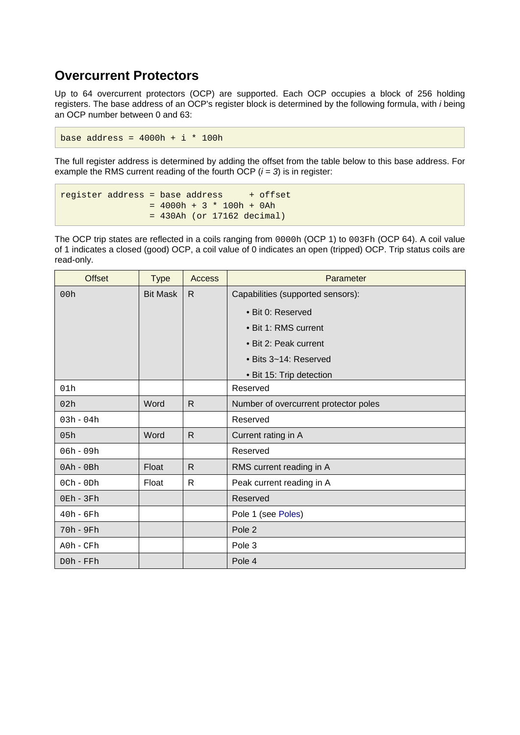#### <span id="page-11-0"></span>**Overcurrent Protectors**

Up to 64 overcurrent protectors (OCP) are supported. Each OCP occupies a block of 256 holding registers. The base address of an OCP's register block is determined by the following formula, with i being an OCP number between 0 and 63:

base address =  $4000h + i * 100h$ 

The full register address is determined by adding the offset from the table below to this base address. For example the RMS current reading of the fourth OCP  $(i = 3)$  is in register:

```
register address = base address + offset
    = 4000h + 3 * 100h + 0Ah = 430Ah (or 17162 decimal)
```
The OCP trip states are reflected in a coils ranging from 0000h (OCP 1) to 003Fh (OCP 64). A coil value of 1 indicates a closed (good) OCP, a coil value of 0 indicates an open (tripped) OCP. Trip status coils are read-only.

| <b>Offset</b>   | <b>Type</b>     | Access       | Parameter                             |
|-----------------|-----------------|--------------|---------------------------------------|
| 00h             | <b>Bit Mask</b> | R.           | Capabilities (supported sensors):     |
|                 |                 |              | • Bit 0: Reserved                     |
|                 |                 |              | • Bit 1: RMS current                  |
|                 |                 |              | • Bit 2: Peak current                 |
|                 |                 |              | • Bits 3~14: Reserved                 |
|                 |                 |              | · Bit 15: Trip detection              |
| 01h             |                 |              | Reserved                              |
| 02h             | Word            | $\mathsf{R}$ | Number of overcurrent protector poles |
| $03h - 04h$     |                 |              | Reserved                              |
| 05h             | Word            | $\mathsf{R}$ | Current rating in A                   |
| $06h - 09h$     |                 |              | Reserved                              |
| $0$ Ah - $0$ Bh | Float           | R            | RMS current reading in A              |
| $0$ Ch - $0$ Dh | Float           | $\mathsf{R}$ | Peak current reading in A             |
| $0Eh - 3Fh$     |                 |              | Reserved                              |
| $40h - 6Fh$     |                 |              | Pole 1 (see Poles)                    |
| 70h - 9Fh       |                 |              | Pole 2                                |
| $A0h$ - $CFh$   |                 |              | Pole 3                                |
| $D0h$ - $FFh$   |                 |              | Pole 4                                |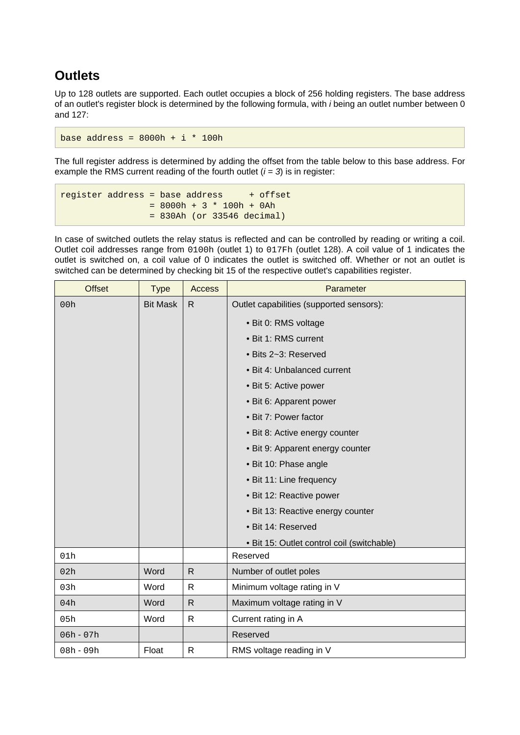### <span id="page-12-0"></span>**Outlets**

Up to 128 outlets are supported. Each outlet occupies a block of 256 holding registers. The base address of an outlet's register block is determined by the following formula, with i being an outlet number between 0 and 127:

base address =  $8000h + i * 100h$ 

The full register address is determined by adding the offset from the table below to this base address. For example the RMS current reading of the fourth outlet  $(i = 3)$  is in register:

```
register address = base address + offset
    = 8000h + 3 * 100h + 0Ah = 830Ah (or 33546 decimal)
```
In case of switched outlets the relay status is reflected and can be controlled by reading or writing a coil. Outlet coil addresses range from 0100h (outlet 1) to 017Fh (outlet 128). A coil value of 1 indicates the outlet is switched on, a coil value of 0 indicates the outlet is switched off. Whether or not an outlet is switched can be determined by checking bit 15 of the respective outlet's capabilities register.

| <b>Offset</b> | <b>Type</b>     | <b>Access</b> | Parameter                                  |
|---------------|-----------------|---------------|--------------------------------------------|
| 00h           | <b>Bit Mask</b> | $\mathsf{R}$  | Outlet capabilities (supported sensors):   |
|               |                 |               | • Bit 0: RMS voltage                       |
|               |                 |               | • Bit 1: RMS current                       |
|               |                 |               | · Bits 2~3: Reserved                       |
|               |                 |               | • Bit 4: Unbalanced current                |
|               |                 |               | • Bit 5: Active power                      |
|               |                 |               | • Bit 6: Apparent power                    |
|               |                 |               | • Bit 7: Power factor                      |
|               |                 |               | • Bit 8: Active energy counter             |
|               |                 |               | • Bit 9: Apparent energy counter           |
|               |                 |               | • Bit 10: Phase angle                      |
|               |                 |               | • Bit 11: Line frequency                   |
|               |                 |               | • Bit 12: Reactive power                   |
|               |                 |               | • Bit 13: Reactive energy counter          |
|               |                 |               | · Bit 14: Reserved                         |
|               |                 |               | • Bit 15: Outlet control coil (switchable) |
| 01h           |                 |               | Reserved                                   |
| 02h           | Word            | $\mathsf{R}$  | Number of outlet poles                     |
| 03h           | Word            | $\mathsf{R}$  | Minimum voltage rating in V                |
| 04h           | Word            | $\mathsf{R}$  | Maximum voltage rating in V                |
| 05h           | Word            | $\mathsf{R}$  | Current rating in A                        |
| $06h - 07h$   |                 |               | Reserved                                   |
| $08h - 09h$   | Float           | $\mathsf{R}$  | RMS voltage reading in V                   |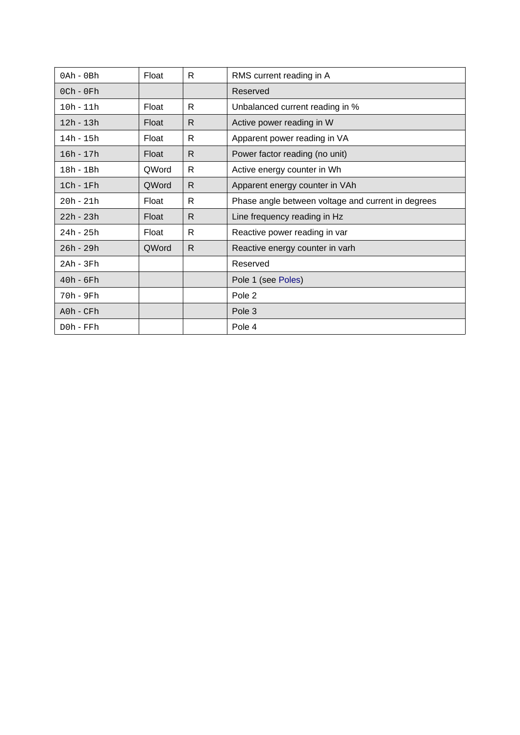| $0$ Ah - $0$ Bh | Float | R  | RMS current reading in A                           |
|-----------------|-------|----|----------------------------------------------------|
| $0$ Ch - $0$ Fh |       |    | Reserved                                           |
| $10h - 11h$     | Float | R  | Unbalanced current reading in %                    |
| $12h - 13h$     | Float | R  | Active power reading in W                          |
| $14h - 15h$     | Float | R. | Apparent power reading in VA                       |
| $16h - 17h$     | Float | R. | Power factor reading (no unit)                     |
| 18h - 1Bh       | QWord | R  | Active energy counter in Wh                        |
| $1ch - 1Fr$     | QWord | R  | Apparent energy counter in VAh                     |
| $20h - 21h$     | Float | R  | Phase angle between voltage and current in degrees |
| $22h - 23h$     | Float | R. | Line frequency reading in Hz                       |
| $24h - 25h$     | Float | R. | Reactive power reading in var                      |
| $26h - 29h$     | QWord | R  | Reactive energy counter in varh                    |
| 2Ah - 3Fh       |       |    | Reserved                                           |
| $40h - 6Fh$     |       |    | Pole 1 (see Poles)                                 |
| $70h - 9Fh$     |       |    | Pole 2                                             |
| $A0h$ - $CFh$   |       |    | Pole 3                                             |
| $D0h$ - $FFh$   |       |    | Pole 4                                             |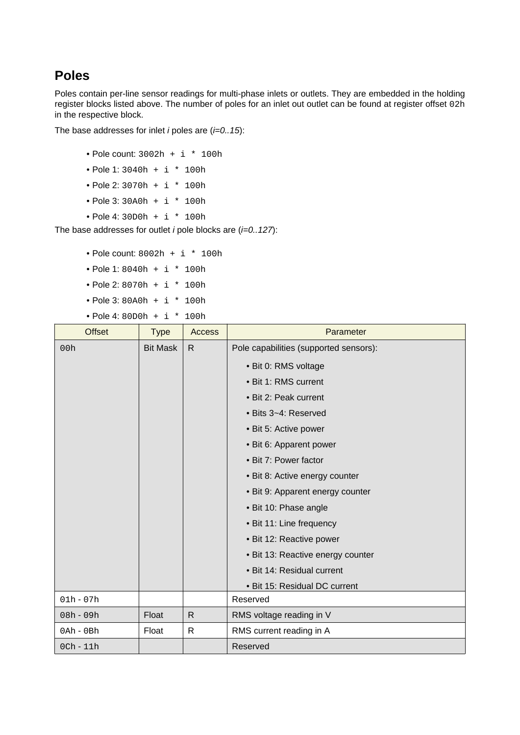#### <span id="page-14-0"></span>**Poles**

Poles contain per-line sensor readings for multi-phase inlets or outlets. They are embedded in the holding register blocks listed above. The number of poles for an inlet out outlet can be found at register offset 02h in the respective block.

The base addresses for inlet *i* poles are  $(i=0..15)$ :

- Pole count: 3002h + i \* 100h
- Pole 1: 3040h + i \* 100h
- Pole 2: 3070h + i \* 100h
- Pole 3: 30A0h + i \* 100h
- Pole 4: 30D0h + i \* 100h

The base addresses for outlet *i* pole blocks are  $(i=0..127)$ :

- Pole count:  $8002h + i * 100h$
- Pole 1: 8040h + i \* 100h
- Pole 2: 8070h + i \* 100h
- Pole 3: 80A0h + i \* 100h
- Pole 4: 80D0h + i \* 100h

| <b>Offset</b>   | <b>Type</b>     | <b>Access</b> | Parameter                              |
|-----------------|-----------------|---------------|----------------------------------------|
| 00h             | <b>Bit Mask</b> | R.            | Pole capabilities (supported sensors): |
|                 |                 |               | • Bit 0: RMS voltage                   |
|                 |                 |               | • Bit 1: RMS current                   |
|                 |                 |               | • Bit 2: Peak current                  |
|                 |                 |               | • Bits 3~4: Reserved                   |
|                 |                 |               | • Bit 5: Active power                  |
|                 |                 |               | • Bit 6: Apparent power                |
|                 |                 |               | • Bit 7: Power factor                  |
|                 |                 |               | • Bit 8: Active energy counter         |
|                 |                 |               | • Bit 9: Apparent energy counter       |
|                 |                 |               | • Bit 10: Phase angle                  |
|                 |                 |               | • Bit 11: Line frequency               |
|                 |                 |               | · Bit 12: Reactive power               |
|                 |                 |               | · Bit 13: Reactive energy counter      |
|                 |                 |               | • Bit 14: Residual current             |
|                 |                 |               | • Bit 15: Residual DC current          |
| $01h - 07h$     |                 |               | Reserved                               |
| 08h - 09h       | Float           | $\mathsf{R}$  | RMS voltage reading in V               |
| $0$ Ah - $0$ Bh | Float           | $\mathsf{R}$  | RMS current reading in A               |
| $0$ Ch - $11h$  |                 |               | Reserved                               |